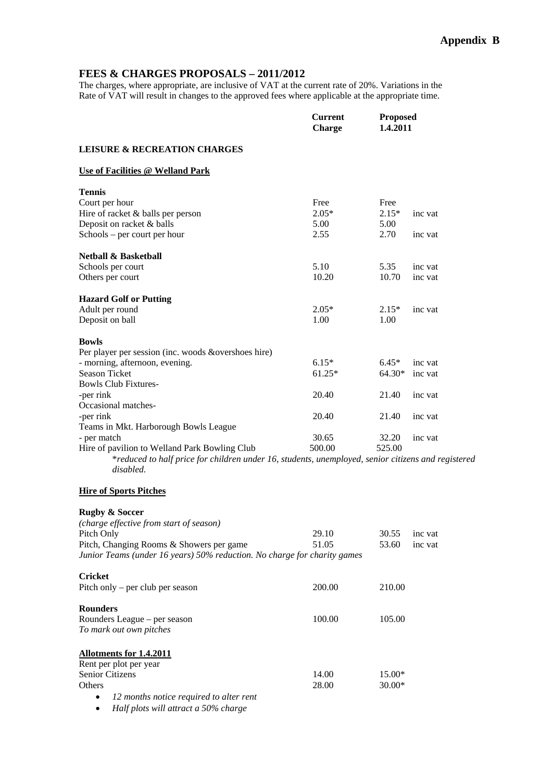# **FEES & CHARGES PROPOSALS – 2011/2012**

The charges, where appropriate, are inclusive of VAT at the current rate of 20%. Variations in the Rate of VAT will result in changes to the approved fees where applicable at the appropriate time.

|                                                                                                                 | <b>Current</b><br><b>Charge</b> | <b>Proposed</b><br>1.4.2011 |         |  |
|-----------------------------------------------------------------------------------------------------------------|---------------------------------|-----------------------------|---------|--|
| <b>LEISURE &amp; RECREATION CHARGES</b>                                                                         |                                 |                             |         |  |
| Use of Facilities @ Welland Park                                                                                |                                 |                             |         |  |
| <b>Tennis</b>                                                                                                   |                                 |                             |         |  |
| Court per hour                                                                                                  | Free                            | Free                        |         |  |
| Hire of racket & balls per person                                                                               | $2.05*$                         | $2.15*$                     | inc vat |  |
| Deposit on racket & balls                                                                                       | 5.00                            | 5.00                        |         |  |
| Schools – per court per hour                                                                                    | 2.55                            | 2.70                        | inc vat |  |
| <b>Netball &amp; Basketball</b>                                                                                 |                                 |                             |         |  |
| Schools per court                                                                                               | 5.10                            | 5.35                        | inc vat |  |
| Others per court                                                                                                | 10.20                           | 10.70                       | inc vat |  |
| <b>Hazard Golf or Putting</b>                                                                                   |                                 |                             |         |  |
| Adult per round                                                                                                 | $2.05*$                         | $2.15*$                     | inc vat |  |
| Deposit on ball                                                                                                 | 1.00                            | 1.00                        |         |  |
| <b>Bowls</b>                                                                                                    |                                 |                             |         |  |
| Per player per session (inc. woods &overshoes hire)                                                             |                                 |                             |         |  |
| - morning, afternoon, evening.                                                                                  | $6.15*$                         | $6.45*$                     | inc vat |  |
| <b>Season Ticket</b>                                                                                            | $61.25*$                        | 64.30*                      | inc vat |  |
| <b>Bowls Club Fixtures-</b>                                                                                     |                                 |                             |         |  |
| -per rink                                                                                                       | 20.40                           | 21.40                       | inc vat |  |
| Occasional matches-                                                                                             |                                 |                             |         |  |
| -per rink                                                                                                       | 20.40                           | 21.40                       | inc vat |  |
| Teams in Mkt. Harborough Bowls League<br>- per match                                                            | 30.65                           | 32.20                       | inc vat |  |
| Hire of pavilion to Welland Park Bowling Club                                                                   | 500.00                          | 525.00                      |         |  |
| *reduced to half price for children under 16, students, unemployed, senior citizens and registered<br>disabled. |                                 |                             |         |  |
| <b>Hire of Sports Pitches</b>                                                                                   |                                 |                             |         |  |
| <b>Rugby &amp; Soccer</b>                                                                                       |                                 |                             |         |  |
| (charge effective from start of season)                                                                         |                                 |                             |         |  |
| Pitch Only                                                                                                      | 29.10                           | 30.55                       | inc vat |  |
| Pitch, Changing Rooms & Showers per game                                                                        | 51.05                           | 53.60                       | inc vat |  |
| Junior Teams (under 16 years) 50% reduction. No charge for charity games                                        |                                 |                             |         |  |
| <b>Cricket</b>                                                                                                  |                                 |                             |         |  |
| Pitch only – per club per season                                                                                | 200.00                          | 210.00                      |         |  |
| <b>Rounders</b>                                                                                                 |                                 |                             |         |  |
| Rounders League - per season                                                                                    | 100.00                          | 105.00                      |         |  |
| To mark out own pitches                                                                                         |                                 |                             |         |  |
| <b>Allotments for 1.4.2011</b>                                                                                  |                                 |                             |         |  |
| Rent per plot per year                                                                                          |                                 |                             |         |  |
| Senior Citizens                                                                                                 | 14.00                           | $15.00*$                    |         |  |
| Others                                                                                                          | 28.00                           | $30.00*$                    |         |  |
| 12 months notice required to alter rent<br>$\bullet$                                                            |                                 |                             |         |  |

*Half plots will attract a 50% charge*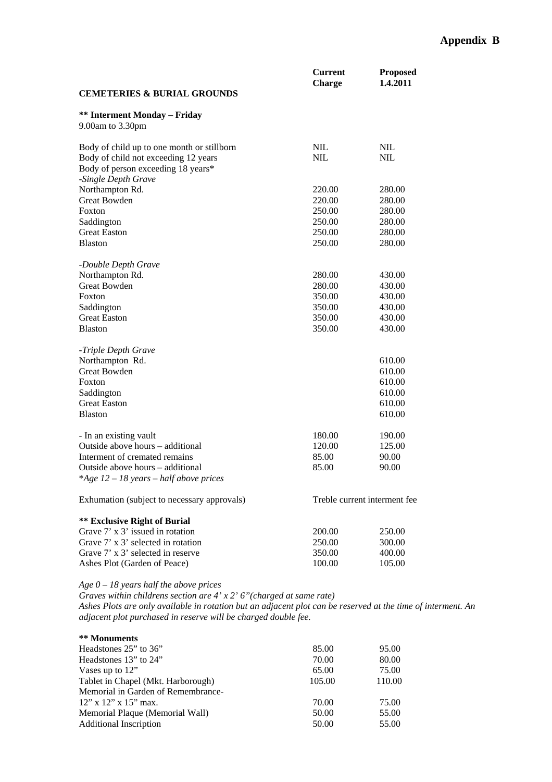|                                                         | <b>Current</b><br><b>Charge</b> | <b>Proposed</b><br>1.4.2011  |
|---------------------------------------------------------|---------------------------------|------------------------------|
| <b>CEMETERIES &amp; BURIAL GROUNDS</b>                  |                                 |                              |
| <b>** Interment Monday - Friday</b><br>9.00am to 3.30pm |                                 |                              |
| Body of child up to one month or stillborn              | <b>NIL</b>                      | <b>NIL</b>                   |
| Body of child not exceeding 12 years                    | <b>NIL</b>                      | <b>NIL</b>                   |
| Body of person exceeding 18 years*                      |                                 |                              |
| -Single Depth Grave<br>Northampton Rd.                  |                                 |                              |
| <b>Great Bowden</b>                                     | 220.00<br>220.00                | 280.00<br>280.00             |
| Foxton                                                  | 250.00                          | 280.00                       |
| Saddington                                              | 250.00                          | 280.00                       |
| <b>Great Easton</b>                                     | 250.00                          | 280.00                       |
| <b>Blaston</b>                                          | 250.00                          | 280.00                       |
|                                                         |                                 |                              |
| -Double Depth Grave                                     |                                 |                              |
| Northampton Rd.                                         | 280.00                          | 430.00                       |
| <b>Great Bowden</b>                                     | 280.00                          | 430.00                       |
| Foxton                                                  | 350.00                          | 430.00                       |
| Saddington                                              | 350.00                          | 430.00                       |
| <b>Great Easton</b>                                     | 350.00                          | 430.00                       |
| <b>Blaston</b>                                          | 350.00                          | 430.00                       |
| -Triple Depth Grave                                     |                                 |                              |
| Northampton Rd.                                         |                                 | 610.00                       |
| <b>Great Bowden</b>                                     |                                 | 610.00                       |
| Foxton                                                  |                                 | 610.00                       |
| Saddington                                              |                                 | 610.00                       |
| <b>Great Easton</b>                                     |                                 | 610.00                       |
| <b>Blaston</b>                                          |                                 | 610.00                       |
|                                                         |                                 |                              |
| - In an existing vault                                  | 180.00                          | 190.00                       |
| Outside above hours - additional                        | 120.00                          | 125.00                       |
| Interment of cremated remains                           | 85.00                           | 90.00                        |
| Outside above hours – additional                        | 85.00                           | 90.00                        |
| *Age $12 - 18$ years – half above prices                |                                 |                              |
| Exhumation (subject to necessary approvals)             |                                 | Treble current interment fee |
| <b>** Exclusive Right of Burial</b>                     |                                 |                              |
| Grave 7' x 3' issued in rotation                        | 200.00                          | 250.00                       |
| Grave 7' x 3' selected in rotation                      | 250.00                          | 300.00                       |

*Age 0 – 18 years half the above prices* 

Ashes Plot (Garden of Peace)

*Graves within childrens section are 4' x 2' 6"(charged at same rate) Ashes Plots are only available in rotation but an adjacent plot can be reserved at the time of interment. An adjacent plot purchased in reserve will be charged double fee.* 

| ** Monuments                       |        |        |
|------------------------------------|--------|--------|
| Headstones $25$ " to $36$ "        | 85.00  | 95.00  |
| Headstones $13"$ to $24"$          | 70.00  | 80.00  |
| Vases up to 12"                    | 65.00  | 75.00  |
| Tablet in Chapel (Mkt. Harborough) | 105.00 | 110.00 |
| Memorial in Garden of Remembrance- |        |        |
| $12$ " x $12$ " x $15$ " max.      | 70.00  | 75.00  |
| Memorial Plaque (Memorial Wall)    | 50.00  | 55.00  |
| <b>Additional Inscription</b>      | 50.00  | 55.00  |
|                                    |        |        |

Grave 7' x 3' selected in reserve 350.00 400.00<br>Ashes Plot (Garden of Peace) 100.00 105.00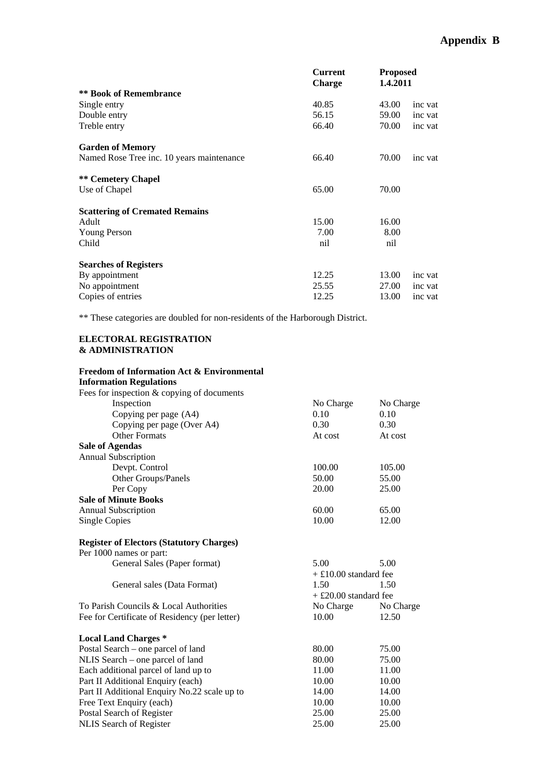|                                           | <b>Current</b> | <b>Proposed</b> |         |
|-------------------------------------------|----------------|-----------------|---------|
|                                           | <b>Charge</b>  | 1.4.2011        |         |
| <b>** Book of Remembrance</b>             |                |                 |         |
| Single entry                              | 40.85          | 43.00           | inc vat |
| Double entry                              | 56.15          | 59.00           | inc vat |
| Treble entry                              | 66.40          | 70.00           | inc vat |
| <b>Garden of Memory</b>                   |                |                 |         |
| Named Rose Tree inc. 10 years maintenance | 66.40          | 70.00           | inc vat |
| <b>** Cemetery Chapel</b>                 |                |                 |         |
| Use of Chapel                             | 65.00          | 70.00           |         |
| <b>Scattering of Cremated Remains</b>     |                |                 |         |
| Adult                                     | 15.00          | 16.00           |         |
| Young Person                              | 7.00           | 8.00            |         |
| Child                                     | nil            | nil             |         |
| <b>Searches of Registers</b>              |                |                 |         |
| By appointment                            | 12.25          | 13.00           | inc vat |
| No appointment                            | 25.55          | 27.00           | inc vat |
| Copies of entries                         | 12.25          | 13.00           | inc vat |

\*\* These categories are doubled for non-residents of the Harborough District.

### **ELECTORAL REGISTRATION & ADMINISTRATION**

| <b>Freedom of Information Act &amp; Environmental</b><br><b>Information Regulations</b> |                         |           |
|-----------------------------------------------------------------------------------------|-------------------------|-----------|
| Fees for inspection & copying of documents                                              |                         |           |
| Inspection                                                                              | No Charge               | No Charge |
| Copying per page (A4)                                                                   | 0.10                    | 0.10      |
| Copying per page (Over A4)                                                              | 0.30                    | 0.30      |
| <b>Other Formats</b>                                                                    | At cost                 | At cost   |
| <b>Sale of Agendas</b>                                                                  |                         |           |
| <b>Annual Subscription</b>                                                              |                         |           |
| Devpt. Control                                                                          | 100.00                  | 105.00    |
| Other Groups/Panels                                                                     | 50.00                   | 55.00     |
| Per Copy                                                                                | 20.00                   | 25.00     |
| <b>Sale of Minute Books</b>                                                             |                         |           |
| <b>Annual Subscription</b>                                                              | 60.00                   | 65.00     |
| <b>Single Copies</b>                                                                    | 10.00                   | 12.00     |
| <b>Register of Electors (Statutory Charges)</b>                                         |                         |           |
| Per 1000 names or part:                                                                 |                         |           |
| General Sales (Paper format)                                                            | 5.00                    | 5.00      |
|                                                                                         | $+ £10.00$ standard fee |           |
| General sales (Data Format)                                                             | 1.50                    | 1.50      |
|                                                                                         | $+$ £20.00 standard fee |           |
| To Parish Councils & Local Authorities                                                  | No Charge               | No Charge |
| Fee for Certificate of Residency (per letter)                                           | 10.00                   | 12.50     |
| <b>Local Land Charges *</b>                                                             |                         |           |
| Postal Search – one parcel of land                                                      | 80.00                   | 75.00     |
| NLIS Search – one parcel of land                                                        | 80.00                   | 75.00     |
| Each additional parcel of land up to                                                    | 11.00                   | 11.00     |
| Part II Additional Enquiry (each)                                                       | 10.00                   | 10.00     |
| Part II Additional Enquiry No.22 scale up to                                            | 14.00                   | 14.00     |
| Free Text Enquiry (each)                                                                | 10.00                   | 10.00     |
| Postal Search of Register                                                               | 25.00                   | 25.00     |
| <b>NLIS</b> Search of Register                                                          | 25.00                   | 25.00     |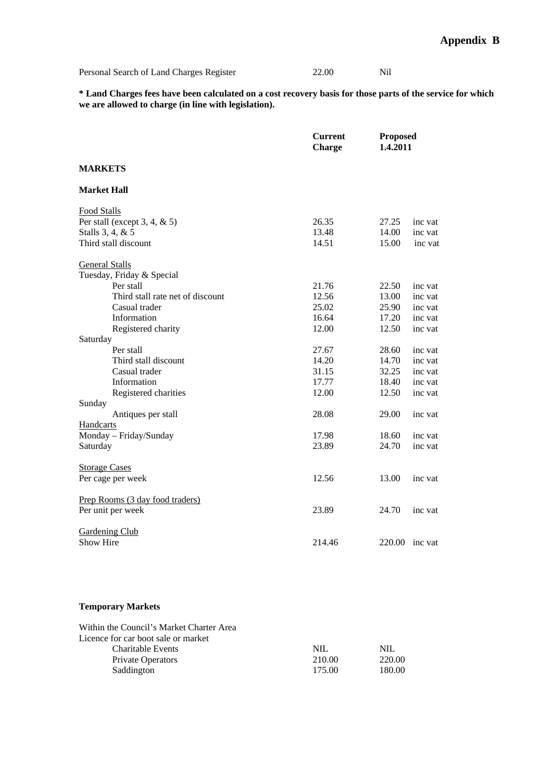| Personal Search of Land Charges Register | 22.00 | Nil |
|------------------------------------------|-------|-----|
|                                          |       |     |

**\* Land Charges fees have been calculated on a cost recovery basis for those parts of the service for which we are allowed to charge (in line with legislation).** 

|                                  | <b>Current</b><br><b>Charge</b> | <b>Proposed</b><br>1.4.2011 |         |
|----------------------------------|---------------------------------|-----------------------------|---------|
| <b>MARKETS</b>                   |                                 |                             |         |
| <b>Market Hall</b>               |                                 |                             |         |
| Food Stalls                      |                                 |                             |         |
| Per stall (except $3, 4, \& 5$ ) | 26.35                           | 27.25                       | inc vat |
| Stalls 3, 4, & 5                 | 13.48                           | 14.00                       | inc vat |
| Third stall discount             | 14.51                           | 15.00                       | inc vat |
| <b>General Stalls</b>            |                                 |                             |         |
| Tuesday, Friday & Special        |                                 |                             |         |
| Per stall                        | 21.76                           | 22.50                       | inc vat |
| Third stall rate net of discount | 12.56                           | 13.00                       | inc vat |
| Casual trader                    | 25.02                           | 25.90                       | inc vat |
| Information                      | 16.64                           | 17.20                       | inc vat |
| Registered charity               | 12.00                           | 12.50                       | inc vat |
| Saturday                         |                                 |                             |         |
| Per stall                        | 27.67                           | 28.60                       | inc vat |
| Third stall discount             | 14.20                           | 14.70                       | inc vat |
| Casual trader                    | 31.15                           | 32.25                       | inc vat |
| Information                      | 17.77                           | 18.40                       | inc vat |
| Registered charities             | 12.00                           | 12.50                       | inc vat |
| Sunday                           |                                 |                             |         |
| Antiques per stall               | 28.08                           | 29.00                       | inc vat |
| Handcarts                        |                                 |                             |         |
| Monday - Friday/Sunday           | 17.98                           | 18.60                       | inc vat |
| Saturday                         | 23.89                           | 24.70                       | inc vat |
| <b>Storage Cases</b>             |                                 |                             |         |
| Per cage per week                | 12.56                           | 13.00                       | inc vat |
| Prep Rooms (3 day food traders)  |                                 |                             |         |
| Per unit per week                | 23.89                           | 24.70                       | inc vat |
| <b>Gardening Club</b>            |                                 |                             |         |
| Show Hire                        | 214.46                          | 220.00                      | inc vat |

## **Temporary Markets**

| Within the Council's Market Charter Area |        |        |
|------------------------------------------|--------|--------|
| Licence for car boot sale or market      |        |        |
| Charitable Events                        | NIL.   | NIL.   |
| <b>Private Operators</b>                 | 210.00 | 220.00 |
| Saddington                               | 175.00 | 180.00 |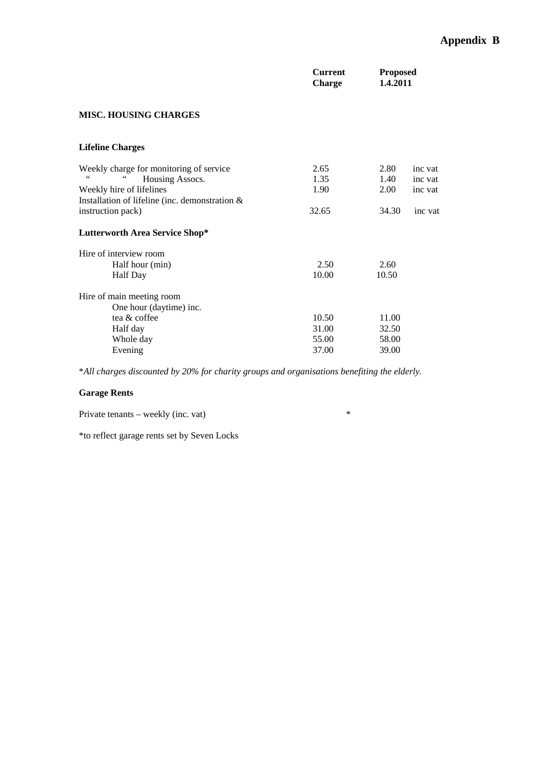|                                                | <b>Current</b><br><b>Charge</b> | <b>Proposed</b><br>1.4.2011 |         |
|------------------------------------------------|---------------------------------|-----------------------------|---------|
| <b>MISC. HOUSING CHARGES</b>                   |                                 |                             |         |
| <b>Lifeline Charges</b>                        |                                 |                             |         |
| Weekly charge for monitoring of service        | 2.65                            | 2.80                        | inc vat |
| 66<br>Housing Assocs.                          | 1.35                            | 1.40                        | inc vat |
| Weekly hire of lifelines                       | 1.90                            | 2.00                        | inc vat |
| Installation of lifeline (inc. demonstration & |                                 |                             |         |
| instruction pack)                              | 32.65                           | 34.30                       | inc vat |
| <b>Lutterworth Area Service Shop*</b>          |                                 |                             |         |
| Hire of interview room                         |                                 |                             |         |
| Half hour (min)                                | 2.50                            | 2.60                        |         |
| <b>Half</b> Day                                | 10.00                           | 10.50                       |         |
| Hire of main meeting room                      |                                 |                             |         |
| One hour (daytime) inc.                        |                                 |                             |         |
| tea & coffee                                   | 10.50                           | 11.00                       |         |
| Half day                                       | 31.00                           | 32.50                       |         |
| Whole day                                      | 55.00                           | 58.00                       |         |
| Evening                                        | 37.00                           | 39.00                       |         |

\**All charges discounted by 20% for charity groups and organisations benefiting the elderly.* 

# **Garage Rents**

Private tenants – weekly (inc. vat) \*

\*to reflect garage rents set by Seven Locks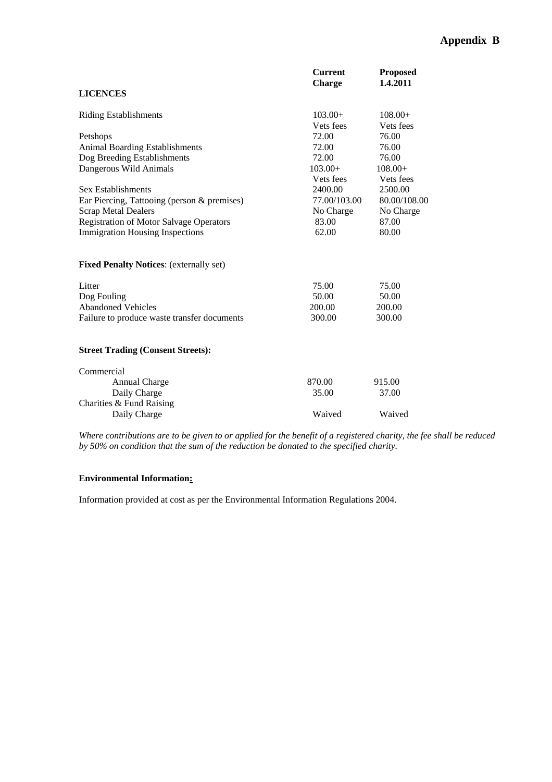|                                                | <b>Current</b><br><b>Charge</b> | <b>Proposed</b><br>1.4.2011 |
|------------------------------------------------|---------------------------------|-----------------------------|
| <b>LICENCES</b>                                |                                 |                             |
| <b>Riding Establishments</b>                   | $103.00+$                       | $108.00+$                   |
|                                                | Vets fees                       | Vets fees                   |
| Petshops                                       | 72.00                           | 76.00                       |
| <b>Animal Boarding Establishments</b>          | 72.00                           | 76.00                       |
| Dog Breeding Establishments                    | 72.00                           | 76.00                       |
| Dangerous Wild Animals                         | $103.00+$                       | $108.00+$                   |
|                                                | Vets fees                       | Vets fees                   |
| Sex Establishments                             | 2400.00                         | 2500.00                     |
| Ear Piercing, Tattooing (person & premises)    | 77.00/103.00                    | 80.00/108.00                |
| <b>Scrap Metal Dealers</b>                     | No Charge                       | No Charge                   |
| <b>Registration of Motor Salvage Operators</b> | 83.00                           | 87.00                       |
| <b>Immigration Housing Inspections</b>         | 62.00                           | 80.00                       |
| <b>Fixed Penalty Notices:</b> (externally set) |                                 |                             |
| Litter                                         | 75.00                           | 75.00                       |
| Dog Fouling                                    | 50.00                           | 50.00                       |
| <b>Abandoned Vehicles</b>                      | 200.00                          | 200.00                      |
| Failure to produce waste transfer documents    | 300.00                          | 300.00                      |
|                                                |                                 |                             |
| <b>Street Trading (Consent Streets):</b>       |                                 |                             |
| Commercial                                     |                                 |                             |
| Annual Charge                                  | 870.00                          | 915.00                      |
| Daily Charge<br>Charities & Fund Raising       | 35.00                           | 37.00                       |
| Daily Charge                                   | Waived                          | Waived                      |

*Where contributions are to be given to or applied for the benefit of a registered charity, the fee shall be reduced by 50% on condition that the sum of the reduction be donated to the specified charity.* 

## **Environmental Information:**

Information provided at cost as per the Environmental Information Regulations 2004.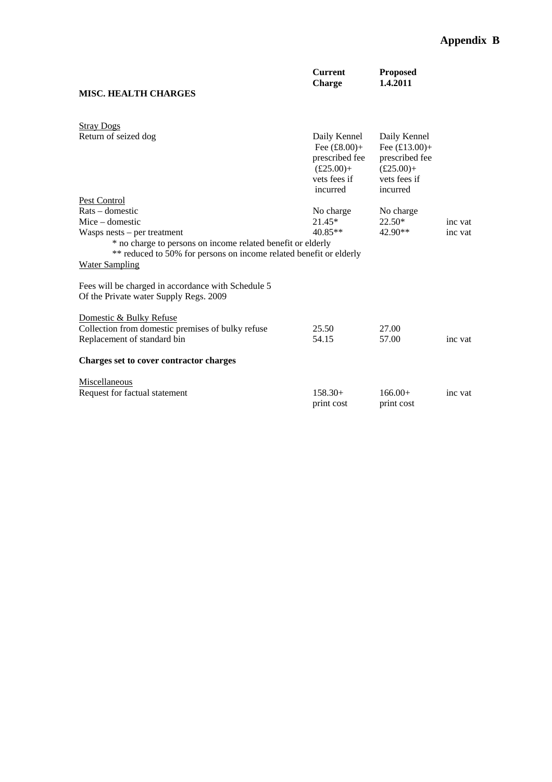| <b>MISC. HEALTH CHARGES</b>                                                                                                                                                                 | <b>Current</b><br><b>Charge</b>                                                                            | <b>Proposed</b><br>1.4.2011                                                                                 |         |
|---------------------------------------------------------------------------------------------------------------------------------------------------------------------------------------------|------------------------------------------------------------------------------------------------------------|-------------------------------------------------------------------------------------------------------------|---------|
| <b>Stray Dogs</b>                                                                                                                                                                           |                                                                                                            |                                                                                                             |         |
| Return of seized dog                                                                                                                                                                        | Daily Kennel<br>Fee $(\pounds8.00)$ +<br>prescribed fee<br>$(\pounds 25.00) +$<br>vets fees if<br>incurred | Daily Kennel<br>Fee $(\pounds13.00)$ +<br>prescribed fee<br>$(\pounds 25.00) +$<br>vets fees if<br>incurred |         |
| Pest Control                                                                                                                                                                                |                                                                                                            |                                                                                                             |         |
| $Rats - domestic$                                                                                                                                                                           | No charge                                                                                                  | No charge                                                                                                   |         |
| $Mice$ – domestic                                                                                                                                                                           | 21.45*                                                                                                     | $22.50*$                                                                                                    | inc vat |
| Wasps nests $-$ per treatment<br>* no charge to persons on income related benefit or elderly<br>** reduced to 50% for persons on income related benefit or elderly<br><b>Water Sampling</b> | $40.85**$                                                                                                  | 42.90**                                                                                                     | inc vat |
| Fees will be charged in accordance with Schedule 5<br>Of the Private water Supply Regs. 2009                                                                                                |                                                                                                            |                                                                                                             |         |
| Domestic & Bulky Refuse                                                                                                                                                                     |                                                                                                            |                                                                                                             |         |
| Collection from domestic premises of bulky refuse                                                                                                                                           | 25.50                                                                                                      | 27.00                                                                                                       |         |
| Replacement of standard bin                                                                                                                                                                 | 54.15                                                                                                      | 57.00                                                                                                       | inc vat |
| Charges set to cover contractor charges                                                                                                                                                     |                                                                                                            |                                                                                                             |         |
| Miscellaneous                                                                                                                                                                               |                                                                                                            |                                                                                                             |         |
| Request for factual statement                                                                                                                                                               | $158.30+$<br>print cost                                                                                    | $166.00+$<br>print cost                                                                                     | inc vat |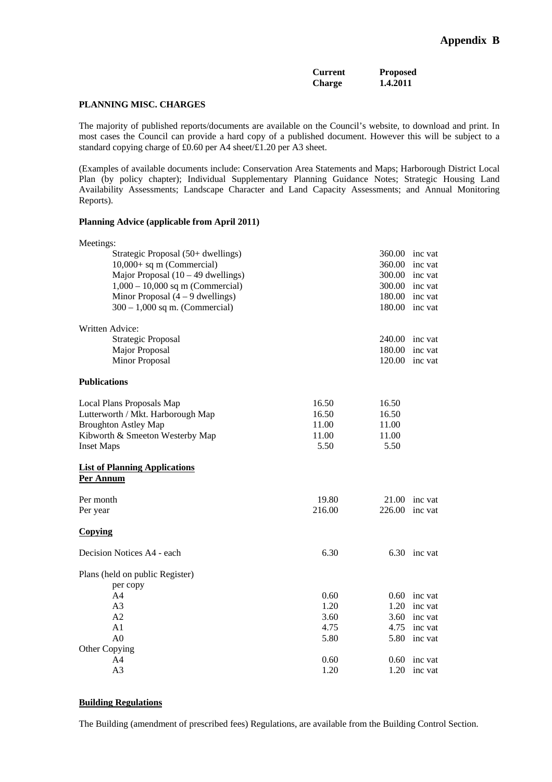| <b>Current</b> | <b>Proposed</b> |
|----------------|-----------------|
| <b>Charge</b>  | 1.4.2011        |

#### **PLANNING MISC. CHARGES**

The majority of published reports/documents are available on the Council's website, to download and print. In most cases the Council can provide a hard copy of a published document. However this will be subject to a standard copying charge of £0.60 per A4 sheet/£1.20 per A3 sheet.

(Examples of available documents include: Conservation Area Statements and Maps; Harborough District Local Plan (by policy chapter); Individual Supplementary Planning Guidance Notes; Strategic Housing Land Availability Assessments; Landscape Character and Land Capacity Assessments; and Annual Monitoring Reports).

#### **Planning Advice (applicable from April 2011)**

| Meetings:                                         |        |        |                |
|---------------------------------------------------|--------|--------|----------------|
| Strategic Proposal (50+ dwellings)                |        | 360.00 | inc vat        |
| $10,000+$ sq m (Commercial)                       |        | 360.00 | inc vat        |
| Major Proposal $(10 – 49$ dwellings)              |        | 300.00 | inc vat        |
| $1,000 - 10,000$ sq m (Commercial)                |        | 300.00 | inc vat        |
| Minor Proposal $(4 - 9$ dwellings)                |        |        | 180.00 inc vat |
| $300 - 1,000$ sq m. (Commercial)                  |        |        | 180.00 inc vat |
| Written Advice:                                   |        |        |                |
| <b>Strategic Proposal</b>                         |        | 240.00 | inc vat        |
| Major Proposal                                    |        | 180.00 | inc vat        |
| <b>Minor Proposal</b>                             |        | 120.00 | inc vat        |
| <b>Publications</b>                               |        |        |                |
| Local Plans Proposals Map                         | 16.50  | 16.50  |                |
| Lutterworth / Mkt. Harborough Map                 | 16.50  | 16.50  |                |
| <b>Broughton Astley Map</b>                       | 11.00  | 11.00  |                |
| Kibworth & Smeeton Westerby Map                   | 11.00  | 11.00  |                |
| <b>Inset Maps</b>                                 | 5.50   | 5.50   |                |
| <b>List of Planning Applications</b><br>Per Annum |        |        |                |
| Per month                                         | 19.80  | 21.00  | inc vat        |
| Per year                                          | 216.00 | 226.00 | inc vat        |
| <b>Copying</b>                                    |        |        |                |
| Decision Notices A4 - each                        | 6.30   | 6.30   | inc vat        |
| Plans (held on public Register)                   |        |        |                |
| per copy                                          |        |        |                |
| A <sub>4</sub>                                    | 0.60   | 0.60   | inc vat        |
| A <sub>3</sub>                                    | 1.20   | 1.20   | inc vat        |
| A2                                                | 3.60   | 3.60   | inc vat        |
| A <sub>1</sub>                                    | 4.75   | 4.75   | inc vat        |
| A <sub>0</sub>                                    | 5.80   | 5.80   | inc vat        |
| Other Copying                                     |        |        |                |
| A4                                                | 0.60   | 0.60   | inc vat        |
| A <sub>3</sub>                                    | 1.20   | 1.20   | inc vat        |

### **Building Regulations**

The Building (amendment of prescribed fees) Regulations, are available from the Building Control Section.